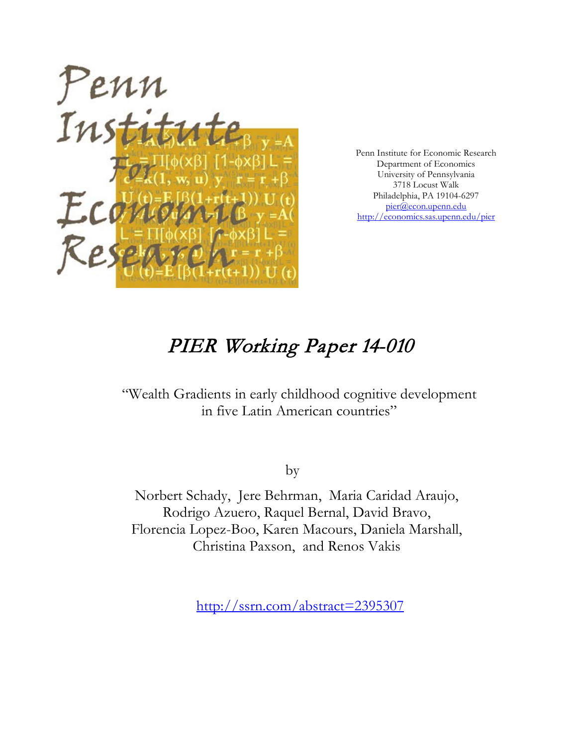

Penn Institute for Economic Research Department of Economics University of Pennsylvania 3718 Locust Walk Philadelphia, PA 19104-6297 [pier@econ.upenn.edu](mailto:pier@econ.upenn.edu) <http://economics.sas.upenn.edu/pier>

## PIER Working Paper 14-010

"Wealth Gradients in early childhood cognitive development in five Latin American countries"

by

Norbert Schady, Jere Behrman, Maria Caridad Araujo, Rodrigo Azuero, Raquel Bernal, David Bravo, Florencia Lopez-Boo, Karen Macours, Daniela Marshall, Christina Paxson, and Renos Vakis

[http://ssrn.com/abstract=2](http://ssrn.com/abstract_id=)395307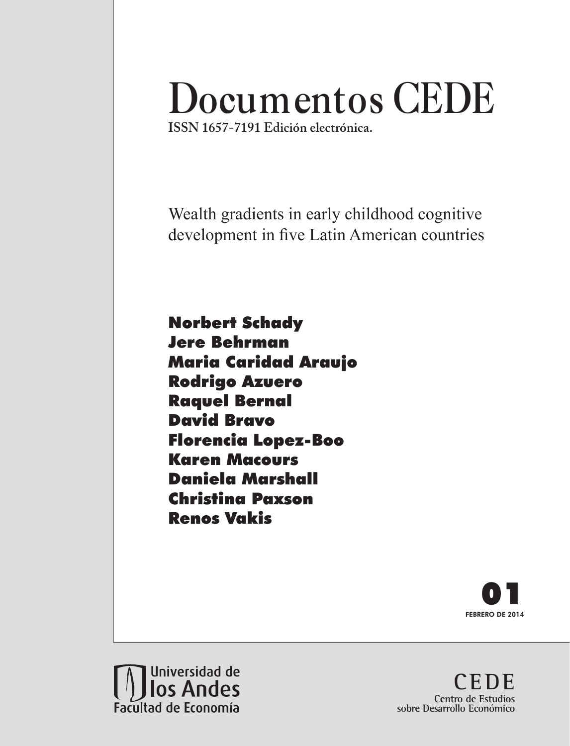# **Documentos CEDE**

**ISSN 1657-7191 Edición electrónica.**

Wealth gradients in early childhood cognitive development in five Latin American countries

Norbert Schady Jere Behrman Maria Caridad Araujo Rodrigo Azuero Raquel Bernal David Bravo Florencia Lopez-Boo Karen Macours Daniela Marshall Christina Paxson Renos Vakis





**CEDE Centro de Estudios sobre Desarrollo Económico**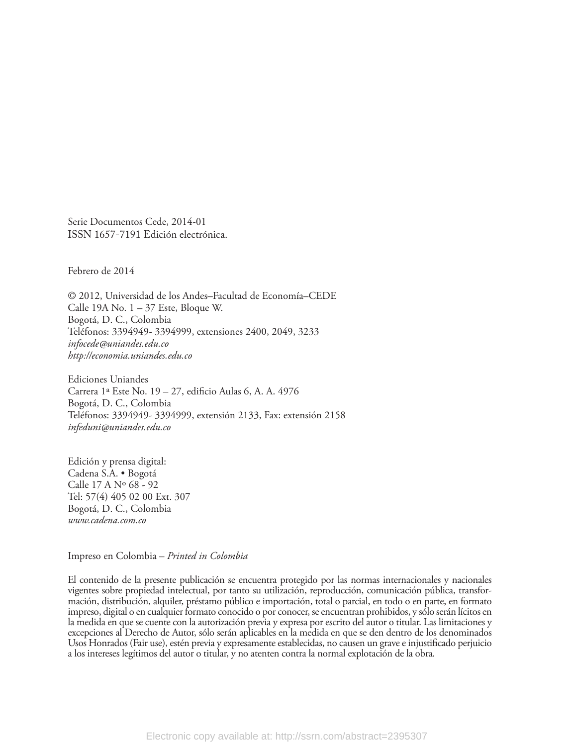Serie Documentos Cede, 2014-01 ISSN 1657-7191 Edición electrónica.

Febrero de 2014

© 2012, Universidad de los Andes–Facultad de Economía–CEDE Calle 19A No.  $1 - 37$  Este, Bloque W. Bogotá, D. C., Colombia Teléfonos: 3394949- 3394999, extensiones 2400, 2049, 3233 *infocede@uniandes.edu.co http://economia.uniandes.edu.co*

Ediciones Uniandes Carrera 1ª Este No. 19 – 27, edificio Aulas 6, A. A. 4976 Bogotá, D. C., Colombia Teléfonos: 3394949- 3394999, extensión 2133, Fax: extensión 2158 *infeduni@uniandes.edu.co*

Edición y prensa digital: Cadena S.A. • Bogotá Calle 17 A Nº 68 - 92 Tel: 57(4) 405 02 00 Ext. 307 Bogotá, D. C., Colombia *www.cadena.com.co*

Impreso en Colombia – *Printed in Colombia*

El contenido de la presente publicación se encuentra protegido por las normas internacionales y nacionales vigentes sobre propiedad intelectual, por tanto su utilización, reproducción, comunicación pública, transformación, distribución, alquiler, préstamo público e importación, total o parcial, en todo o en parte, en formato impreso, digital o en cualquier formato conocido o por conocer, se encuentran prohibidos, y sólo serán lícitos en la medida en que se cuente con la autorización previa y expresa por escrito del autor o titular. Las limitaciones y excepciones al Derecho de Autor, sólo serán aplicables en la medida en que se den dentro de los denominados Usos Honrados (Fair use), estén previa y expresamente establecidas, no causen un grave e injustificado perjuicio a los intereses legítimos del autor o titular, y no atenten contra la normal explotación de la obra.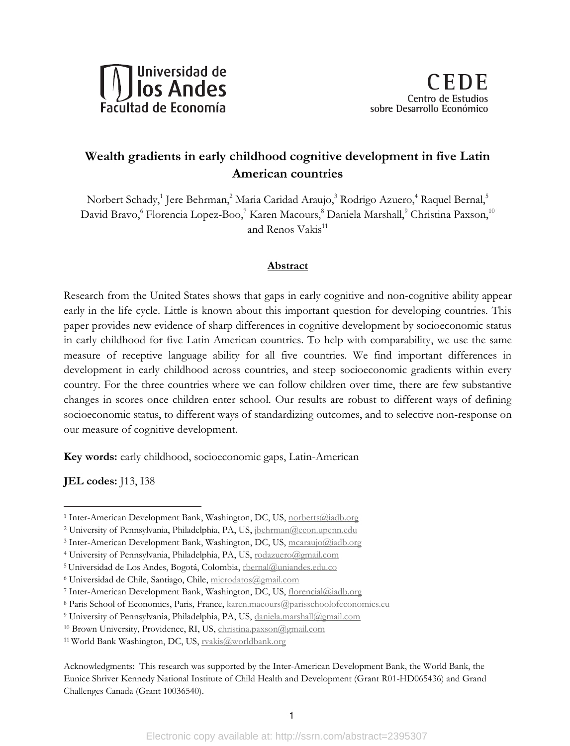

#### **Wealth gradients in early childhood cognitive development in five Latin American countries Wealth gradients in early childhood cognitive development in five Latin American countries**

Norbert Schady,<sup>1</sup> Jere Behrman,<sup>2</sup> Maria Caridad Araujo,<sup>3</sup> Rodrigo Azuero,<sup>4</sup> Raquel Bernal,<sup>5</sup> David Bravo, 6 Florencia Lopez-Boo, 7 Karen Macours, 8 Daniela Marshall, 9 Christina Paxson, 10 and Renos Vakis<sup>11</sup> Norbert Schady,<sup>4</sup> Jere Behrman,<sup>2</sup> Maria Caridad Araujo,<sup>9</sup> Rodrigo Azuero,<sup>7</sup> Raquel Bernal,<sup>9</sup>

#### **Abstract**

Research from the United States shows that gaps in early cognitive and non-cognitive ability appear early in the life cycle. Little is known about this important question for developing countries. This paper provides new evidence of sharp differences in cognitive development by socioeconomic status in early childhood for five Latin American countries. To help with comparability, we use the same measure of receptive language ability for all five countries. We find important differences in development in early childhood across countries, and steep socioeconomic gradients within every country. For the three countries where we can follow children over time, there are few substantive changes in scores once children enter school. Our results are robust to different ways of defining socioeconomic status, to different ways of standardizing outcomes, and to selective non-response on our measure of cognitive development.

**Key words:** early childhood, socioeconomic gaps, Latin-American

**JEL codes:** J13, I38

<sup>&</sup>lt;sup>1</sup> Inter-American Development Bank, Washington, DC, US, norberts@iadb.org

<sup>&</sup>lt;sup>2</sup> University of Pennsylvania, Philadelphia, PA, US, jbehrman@econ.upenn.edu

<sup>&</sup>lt;sup>3</sup> Inter-American Development Bank, Washington, DC, US, mcaraujo@iadb.org

<sup>&</sup>lt;sup>4</sup> University of Pennsylvania, Philadelphia, PA, US, rodazuero@gmail.com

<sup>&</sup>lt;sup>5</sup> Universidad de Los Andes, Bogotá, Colombia, rbernal@uniandes.edu.co

<sup>&</sup>lt;sup>6</sup> Universidad de Chile, Santiago, Chile, microdatos@gmail.com

<sup>&</sup>lt;sup>7</sup> Inter-American Development Bank, Washington, DC, US, florencial@iadb.org

<sup>&</sup>lt;sup>8</sup> Paris School of Economics, Paris, France, karen.macours@parisschoolofeconomics.eu

<sup>&</sup>lt;sup>9</sup> University of Pennsylvania, Philadelphia, PA, US, daniela.marshall@gmail.com

<sup>&</sup>lt;sup>10</sup> Brown University, Providence, RI, US, christina.paxson@gmail.com

<sup>&</sup>lt;sup>11</sup> World Bank Washington, DC, US, rvakis@worldbank.org

Eunice Shriver Kennedy National Institute of Child Health and Development (Grant R01-HD065436) and Grand Challenges Canada (Grant 10036540). Acknowledgments: This research was supported by the Inter-American Development Bank, the World Bank, the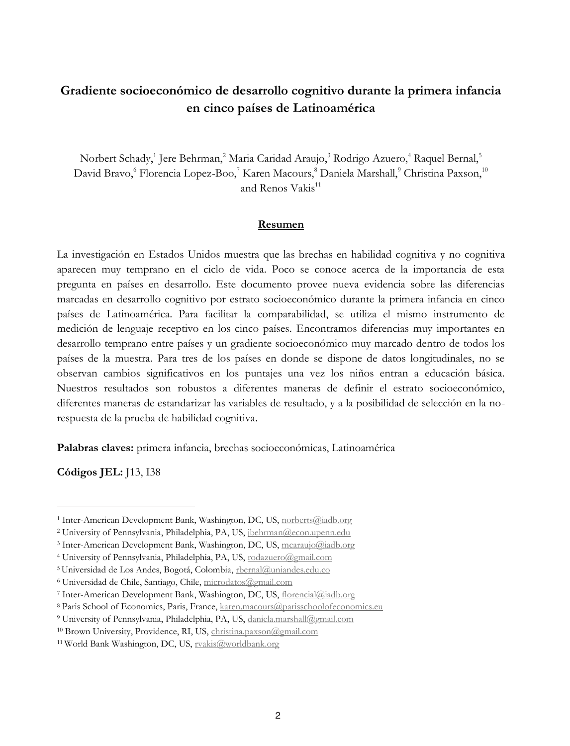### **Gradiente socioeconómico de desarrollo cognitivo durante la primera infancia en cinco países de Latinoamérica**

Norbert Schady,<sup>1</sup> Jere Behrman,<sup>2</sup> Maria Caridad Araujo,<sup>3</sup> Rodrigo Azuero,<sup>4</sup> Raquel Bernal,<sup>5</sup> David Bravo, <sup>6</sup> Florencia Lopez-Boo,<sup>7</sup> Karen Macours, <sup>8</sup> Daniela Marshall, <sup>9</sup> Christina Paxson, <sup>10</sup> and Renos Vakis $11$ 

#### **Resumen**

La investigación en Estados Unidos muestra que las brechas en habilidad cognitiva y no cognitiva aparecen muy temprano en el ciclo de vida. Poco se conoce acerca de la importancia de esta pregunta en países en desarrollo. Este documento provee nueva evidencia sobre las diferencias marcadas en desarrollo cognitivo por estrato socioeconómico durante la primera infancia en cinco países de Latinoamérica. Para facilitar la comparabilidad, se utiliza el mismo instrumento de medición de lenguaje receptivo en los cinco países. Encontramos diferencias muy importantes en desarrollo temprano entre países y un gradiente socioeconómico muy marcado dentro de todos los países de la muestra. Para tres de los países en donde se dispone de datos longitudinales, no se observan cambios significativos en los puntajes una vez los niños entran a educación básica. Nuestros resultados son robustos a diferentes maneras de definir el estrato socioeconómico, diferentes maneras de estandarizar las variables de resultado, y a la posibilidad de selección en la norespuesta de la prueba de habilidad cognitiva.

**Palabras claves:** primera infancia, brechas socioeconómicas, Latinoamérica

**Códigos JEL:** J13, I38

<sup>&</sup>lt;sup>1</sup> Inter-American Development Bank, Washington, DC, US, norberts@iadb.org

<sup>2</sup> University of Pennsylvania, Philadelphia, PA, US, jbehrman@econ.upenn.edu

<sup>&</sup>lt;sup>3</sup> Inter-American Development Bank, Washington, DC, US, mcaraujo@iadb.org

<sup>4</sup> University of Pennsylvania, Philadelphia, PA, US, rodazuero@gmail.com

<sup>5</sup> Universidad de Los Andes, Bogotá, Colombia, rbernal@uniandes.edu.co

<sup>6</sup> Universidad de Chile, Santiago, Chile, microdatos@gmail.com

<sup>7</sup> Inter-American Development Bank, Washington, DC, US, florencial@iadb.org

<sup>8</sup> Paris School of Economics, Paris, France, karen.macours@parisschoolofeconomics.eu

<sup>9</sup> University of Pennsylvania, Philadelphia, PA, US, daniela.marshall@gmail.com

<sup>10</sup> Brown University, Providence, RI, US, christina.paxson@gmail.com

<sup>11</sup> World Bank Washington, DC, US, rvakis@worldbank.org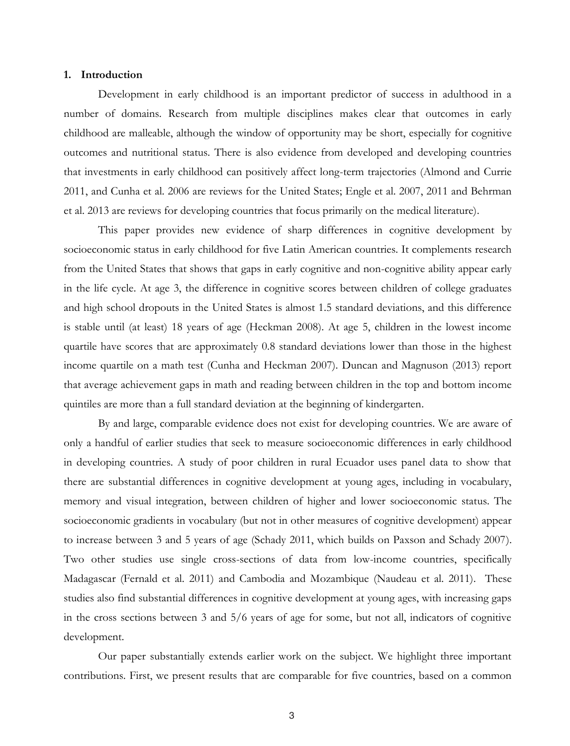#### **1. Introduction**

Development in early childhood is an important predictor of success in adulthood in a number of domains. Research from multiple disciplines makes clear that outcomes in early childhood are malleable, although the window of opportunity may be short, especially for cognitive outcomes and nutritional status. There is also evidence from developed and developing countries that investments in early childhood can positively affect long-term trajectories (Almond and Currie 2011, and Cunha et al. 2006 are reviews for the United States; Engle et al. 2007, 2011 and Behrman et al. 2013 are reviews for developing countries that focus primarily on the medical literature).

This paper provides new evidence of sharp differences in cognitive development by socioeconomic status in early childhood for five Latin American countries. It complements research from the United States that shows that gaps in early cognitive and non-cognitive ability appear early in the life cycle. At age 3, the difference in cognitive scores between children of college graduates and high school dropouts in the United States is almost 1.5 standard deviations, and this difference is stable until (at least) 18 years of age (Heckman 2008). At age 5, children in the lowest income quartile have scores that are approximately 0.8 standard deviations lower than those in the highest income quartile on a math test (Cunha and Heckman 2007). Duncan and Magnuson (2013) report that average achievement gaps in math and reading between children in the top and bottom income quintiles are more than a full standard deviation at the beginning of kindergarten.

By and large, comparable evidence does not exist for developing countries. We are aware of only a handful of earlier studies that seek to measure socioeconomic differences in early childhood in developing countries. A study of poor children in rural Ecuador uses panel data to show that there are substantial differences in cognitive development at young ages, including in vocabulary, memory and visual integration, between children of higher and lower socioeconomic status. The socioeconomic gradients in vocabulary (but not in other measures of cognitive development) appear to increase between 3 and 5 years of age (Schady 2011, which builds on Paxson and Schady 2007). Two other studies use single cross-sections of data from low-income countries, specifically Madagascar (Fernald et al. 2011) and Cambodia and Mozambique (Naudeau et al. 2011). These studies also find substantial differences in cognitive development at young ages, with increasing gaps in the cross sections between 3 and 5/6 years of age for some, but not all, indicators of cognitive development.

Our paper substantially extends earlier work on the subject. We highlight three important contributions. First, we present results that are comparable for five countries, based on a common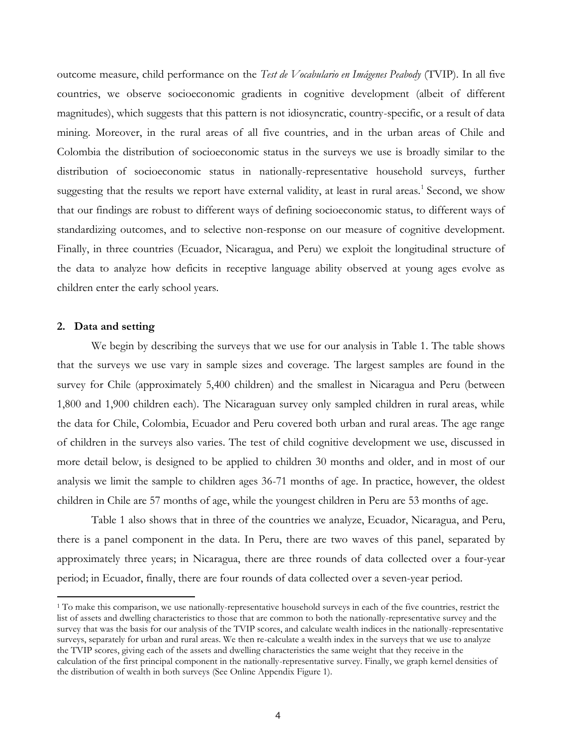outcome measure, child performance on the *Test de Vocabulario en Imágenes Peabody* (TVIP). In all five countries, we observe socioeconomic gradients in cognitive development (albeit of different magnitudes), which suggests that this pattern is not idiosyncratic, country-specific, or a result of data mining. Moreover, in the rural areas of all five countries, and in the urban areas of Chile and Colombia the distribution of socioeconomic status in the surveys we use is broadly similar to the distribution of socioeconomic status in nationally-representative household surveys, further suggesting that the results we report have external validity, at least in rural areas.<sup>1</sup> Second, we show that our findings are robust to different ways of defining socioeconomic status, to different ways of standardizing outcomes, and to selective non-response on our measure of cognitive development. Finally, in three countries (Ecuador, Nicaragua, and Peru) we exploit the longitudinal structure of the data to analyze how deficits in receptive language ability observed at young ages evolve as children enter the early school years.

#### **2. Data and setting**

 $\overline{a}$ 

We begin by describing the surveys that we use for our analysis in Table 1. The table shows that the surveys we use vary in sample sizes and coverage. The largest samples are found in the survey for Chile (approximately 5,400 children) and the smallest in Nicaragua and Peru (between 1,800 and 1,900 children each). The Nicaraguan survey only sampled children in rural areas, while the data for Chile, Colombia, Ecuador and Peru covered both urban and rural areas. The age range of children in the surveys also varies. The test of child cognitive development we use, discussed in more detail below, is designed to be applied to children 30 months and older, and in most of our analysis we limit the sample to children ages 36-71 months of age. In practice, however, the oldest children in Chile are 57 months of age, while the youngest children in Peru are 53 months of age.

Table 1 also shows that in three of the countries we analyze, Ecuador, Nicaragua, and Peru, there is a panel component in the data. In Peru, there are two waves of this panel, separated by approximately three years; in Nicaragua, there are three rounds of data collected over a four-year period; in Ecuador, finally, there are four rounds of data collected over a seven-year period.

<sup>&</sup>lt;sup>1</sup> To make this comparison, we use nationally-representative household surveys in each of the five countries, restrict the list of assets and dwelling characteristics to those that are common to both the nationally-representative survey and the survey that was the basis for our analysis of the TVIP scores, and calculate wealth indices in the nationally-representative surveys, separately for urban and rural areas. We then re-calculate a wealth index in the surveys that we use to analyze the TVIP scores, giving each of the assets and dwelling characteristics the same weight that they receive in the calculation of the first principal component in the nationally-representative survey. Finally, we graph kernel densities of the distribution of wealth in both surveys (See Online Appendix Figure 1).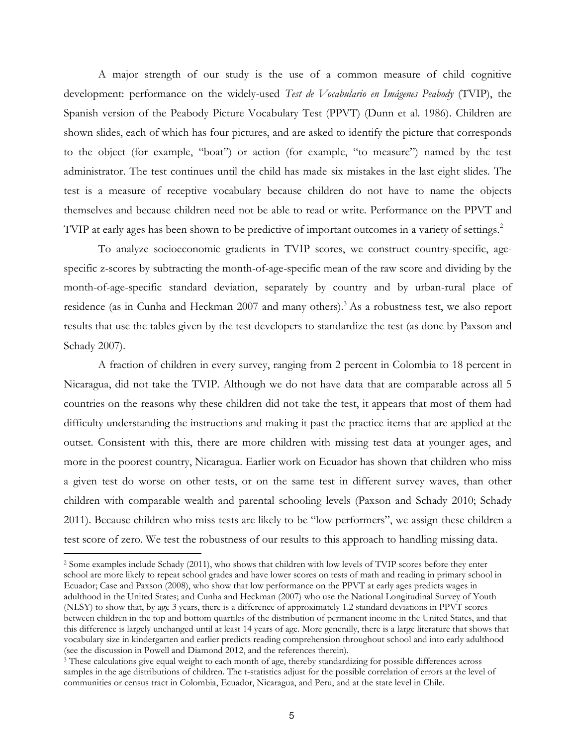A major strength of our study is the use of a common measure of child cognitive development: performance on the widely-used *Test de Vocabulario en Imágenes Peabody* (TVIP), the Spanish version of the Peabody Picture Vocabulary Test (PPVT) (Dunn et al. 1986). Children are shown slides, each of which has four pictures, and are asked to identify the picture that corresponds to the object (for example, "boat") or action (for example, "to measure") named by the test administrator. The test continues until the child has made six mistakes in the last eight slides. The test is a measure of receptive vocabulary because children do not have to name the objects themselves and because children need not be able to read or write. Performance on the PPVT and TVIP at early ages has been shown to be predictive of important outcomes in a variety of settings.<sup>2</sup>

To analyze socioeconomic gradients in TVIP scores, we construct country-specific, agespecific z-scores by subtracting the month-of-age-specific mean of the raw score and dividing by the month-of-age-specific standard deviation, separately by country and by urban-rural place of residence (as in Cunha and Heckman 2007 and many others). <sup>3</sup> As a robustness test, we also report results that use the tables given by the test developers to standardize the test (as done by Paxson and Schady 2007).

A fraction of children in every survey, ranging from 2 percent in Colombia to 18 percent in Nicaragua, did not take the TVIP. Although we do not have data that are comparable across all 5 countries on the reasons why these children did not take the test, it appears that most of them had difficulty understanding the instructions and making it past the practice items that are applied at the outset. Consistent with this, there are more children with missing test data at younger ages, and more in the poorest country, Nicaragua. Earlier work on Ecuador has shown that children who miss a given test do worse on other tests, or on the same test in different survey waves, than other children with comparable wealth and parental schooling levels (Paxson and Schady 2010; Schady 2011). Because children who miss tests are likely to be "low performers", we assign these children a test score of zero. We test the robustness of our results to this approach to handling missing data.

 $\overline{a}$ 

<sup>2</sup> Some examples include Schady (2011), who shows that children with low levels of TVIP scores before they enter school are more likely to repeat school grades and have lower scores on tests of math and reading in primary school in Ecuador; Case and Paxson (2008), who show that low performance on the PPVT at early ages predicts wages in adulthood in the United States; and Cunha and Heckman (2007) who use the National Longitudinal Survey of Youth (NLSY) to show that, by age 3 years, there is a difference of approximately 1.2 standard deviations in PPVT scores between children in the top and bottom quartiles of the distribution of permanent income in the United States, and that this difference is largely unchanged until at least 14 years of age. More generally, there is a large literature that shows that vocabulary size in kindergarten and earlier predicts reading comprehension throughout school and into early adulthood (see the discussion in Powell and Diamond 2012, and the references therein).

<sup>3</sup> These calculations give equal weight to each month of age, thereby standardizing for possible differences across samples in the age distributions of children. The t-statistics adjust for the possible correlation of errors at the level of communities or census tract in Colombia, Ecuador, Nicaragua, and Peru, and at the state level in Chile.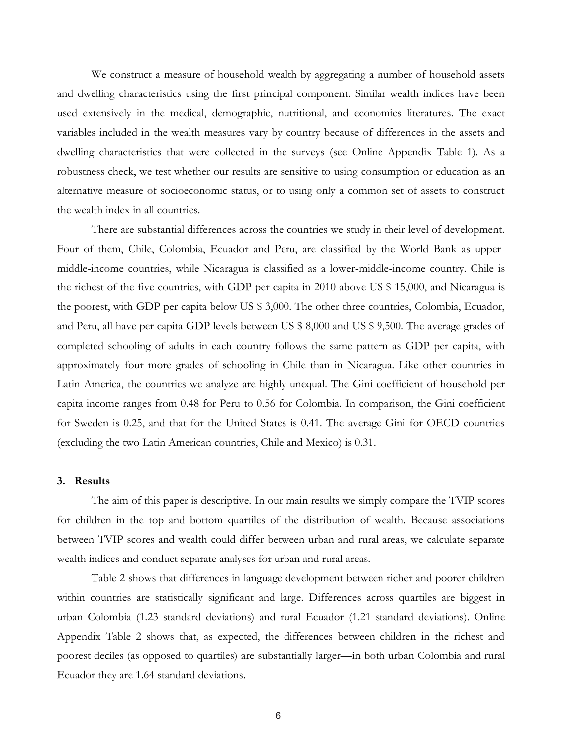We construct a measure of household wealth by aggregating a number of household assets and dwelling characteristics using the first principal component. Similar wealth indices have been used extensively in the medical, demographic, nutritional, and economics literatures. The exact variables included in the wealth measures vary by country because of differences in the assets and dwelling characteristics that were collected in the surveys (see Online Appendix Table 1). As a robustness check, we test whether our results are sensitive to using consumption or education as an alternative measure of socioeconomic status, or to using only a common set of assets to construct the wealth index in all countries.

There are substantial differences across the countries we study in their level of development. Four of them, Chile, Colombia, Ecuador and Peru, are classified by the World Bank as uppermiddle-income countries, while Nicaragua is classified as a lower-middle-income country. Chile is the richest of the five countries, with GDP per capita in 2010 above US \$ 15,000, and Nicaragua is the poorest, with GDP per capita below US \$ 3,000. The other three countries, Colombia, Ecuador, and Peru, all have per capita GDP levels between US \$ 8,000 and US \$ 9,500. The average grades of completed schooling of adults in each country follows the same pattern as GDP per capita, with approximately four more grades of schooling in Chile than in Nicaragua. Like other countries in Latin America, the countries we analyze are highly unequal. The Gini coefficient of household per capita income ranges from 0.48 for Peru to 0.56 for Colombia. In comparison, the Gini coefficient for Sweden is 0.25, and that for the United States is 0.41. The average Gini for OECD countries (excluding the two Latin American countries, Chile and Mexico) is 0.31.

#### **3. Results**

The aim of this paper is descriptive. In our main results we simply compare the TVIP scores for children in the top and bottom quartiles of the distribution of wealth. Because associations between TVIP scores and wealth could differ between urban and rural areas, we calculate separate wealth indices and conduct separate analyses for urban and rural areas.

Table 2 shows that differences in language development between richer and poorer children within countries are statistically significant and large. Differences across quartiles are biggest in urban Colombia (1.23 standard deviations) and rural Ecuador (1.21 standard deviations). Online Appendix Table 2 shows that, as expected, the differences between children in the richest and poorest deciles (as opposed to quartiles) are substantially larger—in both urban Colombia and rural Ecuador they are 1.64 standard deviations.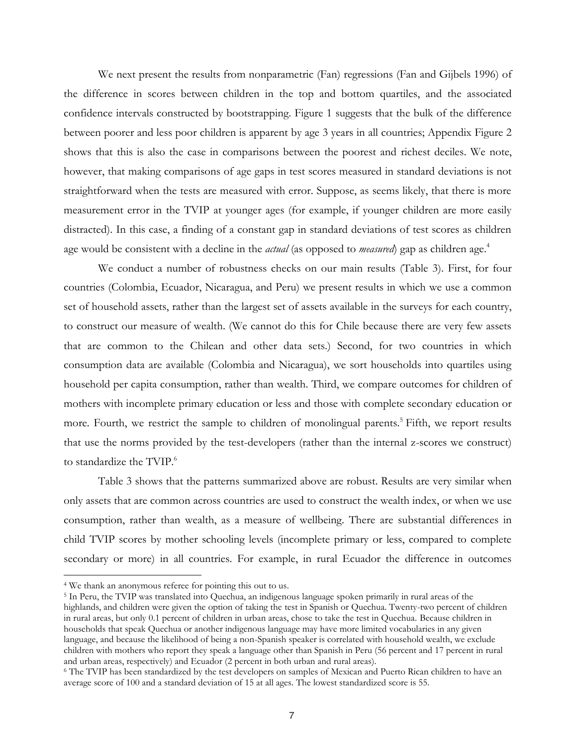We next present the results from nonparametric (Fan) regressions (Fan and Gijbels 1996) of the difference in scores between children in the top and bottom quartiles, and the associated confidence intervals constructed by bootstrapping. Figure 1 suggests that the bulk of the difference between poorer and less poor children is apparent by age 3 years in all countries; Appendix Figure 2 shows that this is also the case in comparisons between the poorest and richest deciles. We note, however, that making comparisons of age gaps in test scores measured in standard deviations is not straightforward when the tests are measured with error. Suppose, as seems likely, that there is more measurement error in the TVIP at younger ages (for example, if younger children are more easily distracted). In this case, a finding of a constant gap in standard deviations of test scores as children age would be consistent with a decline in the *actual* (as opposed to *measured*) gap as children age.<sup>4</sup>

We conduct a number of robustness checks on our main results (Table 3). First, for four countries (Colombia, Ecuador, Nicaragua, and Peru) we present results in which we use a common set of household assets, rather than the largest set of assets available in the surveys for each country, to construct our measure of wealth. (We cannot do this for Chile because there are very few assets that are common to the Chilean and other data sets.) Second, for two countries in which consumption data are available (Colombia and Nicaragua), we sort households into quartiles using household per capita consumption, rather than wealth. Third, we compare outcomes for children of mothers with incomplete primary education or less and those with complete secondary education or more. Fourth, we restrict the sample to children of monolingual parents.<sup>5</sup> Fifth, we report results that use the norms provided by the test-developers (rather than the internal z-scores we construct) to standardize the TVIP.<sup>6</sup>

Table 3 shows that the patterns summarized above are robust. Results are very similar when only assets that are common across countries are used to construct the wealth index, or when we use consumption, rather than wealth, as a measure of wellbeing. There are substantial differences in child TVIP scores by mother schooling levels (incomplete primary or less, compared to complete secondary or more) in all countries. For example, in rural Ecuador the difference in outcomes

 $\overline{a}$ 

<sup>4</sup> We thank an anonymous referee for pointing this out to us.

<sup>5</sup> In Peru, the TVIP was translated into Quechua, an indigenous language spoken primarily in rural areas of the highlands, and children were given the option of taking the test in Spanish or Quechua. Twenty-two percent of children in rural areas, but only 0.1 percent of children in urban areas, chose to take the test in Quechua. Because children in households that speak Quechua or another indigenous language may have more limited vocabularies in any given language, and because the likelihood of being a non-Spanish speaker is correlated with household wealth, we exclude children with mothers who report they speak a language other than Spanish in Peru (56 percent and 17 percent in rural and urban areas, respectively) and Ecuador (2 percent in both urban and rural areas).

<sup>6</sup> The TVIP has been standardized by the test developers on samples of Mexican and Puerto Rican children to have an average score of 100 and a standard deviation of 15 at all ages. The lowest standardized score is 55.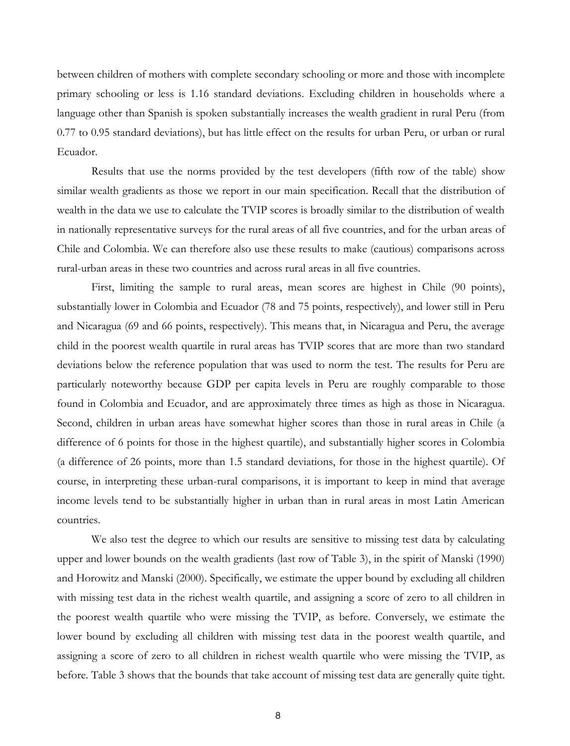between children of mothers with complete secondary schooling or more and those with incomplete primary schooling or less is 1.16 standard deviations. Excluding children in households where a language other than Spanish is spoken substantially increases the wealth gradient in rural Peru (from 0.77 to 0.95 standard deviations), but has little effect on the results for urban Peru, or urban or rural Ecuador.

Results that use the norms provided by the test developers (fifth row of the table) show similar wealth gradients as those we report in our main specification. Recall that the distribution of wealth in the data we use to calculate the TVIP scores is broadly similar to the distribution of wealth in nationally representative surveys for the rural areas of all five countries, and for the urban areas of Chile and Colombia. We can therefore also use these results to make (cautious) comparisons across rural-urban areas in these two countries and across rural areas in all five countries.

First, limiting the sample to rural areas, mean scores are highest in Chile (90 points), substantially lower in Colombia and Ecuador (78 and 75 points, respectively), and lower still in Peru and Nicaragua (69 and 66 points, respectively). This means that, in Nicaragua and Peru, the average child in the poorest wealth quartile in rural areas has TVIP scores that are more than two standard deviations below the reference population that was used to norm the test. The results for Peru are particularly noteworthy because GDP per capita levels in Peru are roughly comparable to those found in Colombia and Ecuador, and are approximately three times as high as those in Nicaragua. Second, children in urban areas have somewhat higher scores than those in rural areas in Chile (a difference of 6 points for those in the highest quartile), and substantially higher scores in Colombia (a difference of 26 points, more than 1.5 standard deviations, for those in the highest quartile). Of course, in interpreting these urban-rural comparisons, it is important to keep in mind that average income levels tend to be substantially higher in urban than in rural areas in most Latin American countries.

We also test the degree to which our results are sensitive to missing test data by calculating upper and lower bounds on the wealth gradients (last row of Table 3), in the spirit of Manski (1990) and Horowitz and Manski (2000). Specifically, we estimate the upper bound by excluding all children with missing test data in the richest wealth quartile, and assigning a score of zero to all children in the poorest wealth quartile who were missing the TVIP, as before. Conversely, we estimate the lower bound by excluding all children with missing test data in the poorest wealth quartile, and assigning a score of zero to all children in richest wealth quartile who were missing the TVIP, as before. Table 3 shows that the bounds that take account of missing test data are generally quite tight.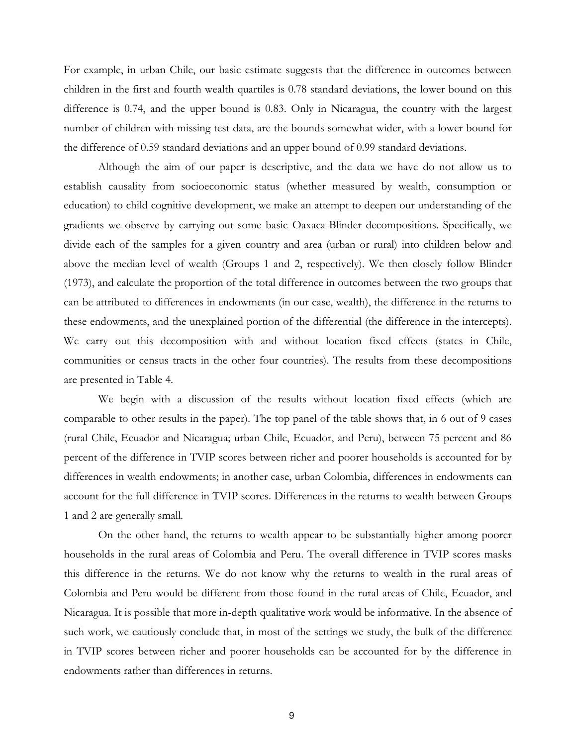For example, in urban Chile, our basic estimate suggests that the difference in outcomes between children in the first and fourth wealth quartiles is 0.78 standard deviations, the lower bound on this difference is 0.74, and the upper bound is 0.83. Only in Nicaragua, the country with the largest number of children with missing test data, are the bounds somewhat wider, with a lower bound for the difference of 0.59 standard deviations and an upper bound of 0.99 standard deviations.

Although the aim of our paper is descriptive, and the data we have do not allow us to establish causality from socioeconomic status (whether measured by wealth, consumption or education) to child cognitive development, we make an attempt to deepen our understanding of the gradients we observe by carrying out some basic Oaxaca-Blinder decompositions. Specifically, we divide each of the samples for a given country and area (urban or rural) into children below and above the median level of wealth (Groups 1 and 2, respectively). We then closely follow Blinder (1973), and calculate the proportion of the total difference in outcomes between the two groups that can be attributed to differences in endowments (in our case, wealth), the difference in the returns to these endowments, and the unexplained portion of the differential (the difference in the intercepts). We carry out this decomposition with and without location fixed effects (states in Chile, communities or census tracts in the other four countries). The results from these decompositions are presented in Table 4.

We begin with a discussion of the results without location fixed effects (which are comparable to other results in the paper). The top panel of the table shows that, in 6 out of 9 cases (rural Chile, Ecuador and Nicaragua; urban Chile, Ecuador, and Peru), between 75 percent and 86 percent of the difference in TVIP scores between richer and poorer households is accounted for by differences in wealth endowments; in another case, urban Colombia, differences in endowments can account for the full difference in TVIP scores. Differences in the returns to wealth between Groups 1 and 2 are generally small.

On the other hand, the returns to wealth appear to be substantially higher among poorer households in the rural areas of Colombia and Peru. The overall difference in TVIP scores masks this difference in the returns. We do not know why the returns to wealth in the rural areas of Colombia and Peru would be different from those found in the rural areas of Chile, Ecuador, and Nicaragua. It is possible that more in-depth qualitative work would be informative. In the absence of such work, we cautiously conclude that, in most of the settings we study, the bulk of the difference in TVIP scores between richer and poorer households can be accounted for by the difference in endowments rather than differences in returns.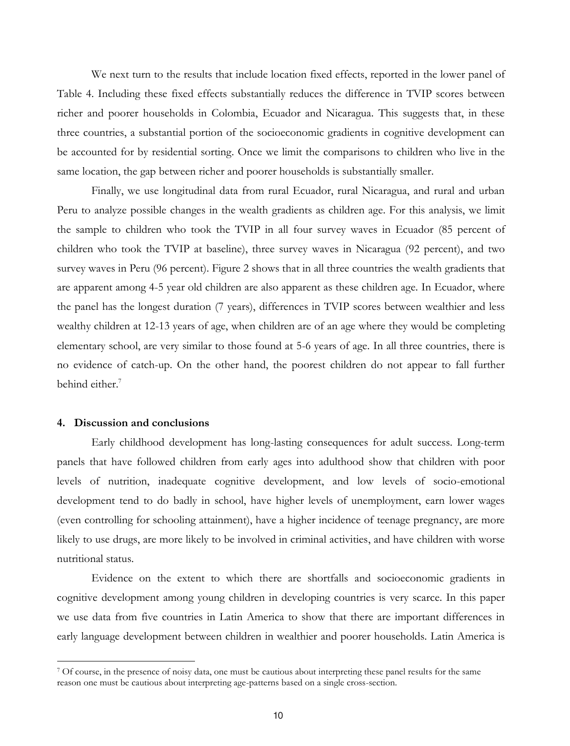We next turn to the results that include location fixed effects, reported in the lower panel of Table 4. Including these fixed effects substantially reduces the difference in TVIP scores between richer and poorer households in Colombia, Ecuador and Nicaragua. This suggests that, in these three countries, a substantial portion of the socioeconomic gradients in cognitive development can be accounted for by residential sorting. Once we limit the comparisons to children who live in the same location, the gap between richer and poorer households is substantially smaller.

Finally, we use longitudinal data from rural Ecuador, rural Nicaragua, and rural and urban Peru to analyze possible changes in the wealth gradients as children age. For this analysis, we limit the sample to children who took the TVIP in all four survey waves in Ecuador (85 percent of children who took the TVIP at baseline), three survey waves in Nicaragua (92 percent), and two survey waves in Peru (96 percent). Figure 2 shows that in all three countries the wealth gradients that are apparent among 4-5 year old children are also apparent as these children age. In Ecuador, where the panel has the longest duration (7 years), differences in TVIP scores between wealthier and less wealthy children at 12-13 years of age, when children are of an age where they would be completing elementary school, are very similar to those found at 5-6 years of age. In all three countries, there is no evidence of catch-up. On the other hand, the poorest children do not appear to fall further behind either. $7$ 

#### **4. Discussion and conclusions**

 $\overline{a}$ 

Early childhood development has long-lasting consequences for adult success. Long-term panels that have followed children from early ages into adulthood show that children with poor levels of nutrition, inadequate cognitive development, and low levels of socio-emotional development tend to do badly in school, have higher levels of unemployment, earn lower wages (even controlling for schooling attainment), have a higher incidence of teenage pregnancy, are more likely to use drugs, are more likely to be involved in criminal activities, and have children with worse nutritional status.

Evidence on the extent to which there are shortfalls and socioeconomic gradients in cognitive development among young children in developing countries is very scarce. In this paper we use data from five countries in Latin America to show that there are important differences in early language development between children in wealthier and poorer households. Latin America is

<sup>7</sup> Of course, in the presence of noisy data, one must be cautious about interpreting these panel results for the same reason one must be cautious about interpreting age-patterns based on a single cross-section.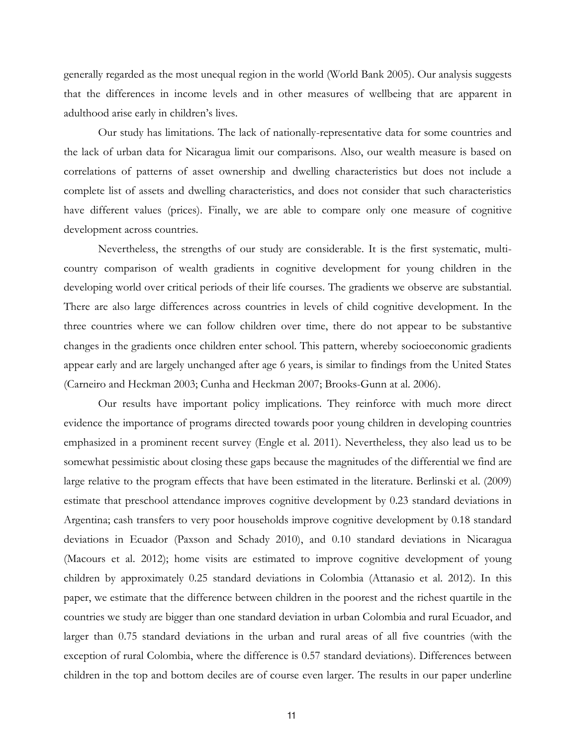generally regarded as the most unequal region in the world (World Bank 2005). Our analysis suggests that the differences in income levels and in other measures of wellbeing that are apparent in adulthood arise early in children's lives.

Our study has limitations. The lack of nationally-representative data for some countries and the lack of urban data for Nicaragua limit our comparisons. Also, our wealth measure is based on correlations of patterns of asset ownership and dwelling characteristics but does not include a complete list of assets and dwelling characteristics, and does not consider that such characteristics have different values (prices). Finally, we are able to compare only one measure of cognitive development across countries.

Nevertheless, the strengths of our study are considerable. It is the first systematic, multicountry comparison of wealth gradients in cognitive development for young children in the developing world over critical periods of their life courses. The gradients we observe are substantial. There are also large differences across countries in levels of child cognitive development. In the three countries where we can follow children over time, there do not appear to be substantive changes in the gradients once children enter school. This pattern, whereby socioeconomic gradients appear early and are largely unchanged after age 6 years, is similar to findings from the United States (Carneiro and Heckman 2003; Cunha and Heckman 2007; Brooks-Gunn at al. 2006).

Our results have important policy implications. They reinforce with much more direct evidence the importance of programs directed towards poor young children in developing countries emphasized in a prominent recent survey (Engle et al. 2011). Nevertheless, they also lead us to be somewhat pessimistic about closing these gaps because the magnitudes of the differential we find are large relative to the program effects that have been estimated in the literature. Berlinski et al. (2009) estimate that preschool attendance improves cognitive development by 0.23 standard deviations in Argentina; cash transfers to very poor households improve cognitive development by 0.18 standard deviations in Ecuador (Paxson and Schady 2010), and 0.10 standard deviations in Nicaragua (Macours et al. 2012); home visits are estimated to improve cognitive development of young children by approximately 0.25 standard deviations in Colombia (Attanasio et al. 2012). In this paper, we estimate that the difference between children in the poorest and the richest quartile in the countries we study are bigger than one standard deviation in urban Colombia and rural Ecuador, and larger than 0.75 standard deviations in the urban and rural areas of all five countries (with the exception of rural Colombia, where the difference is 0.57 standard deviations). Differences between children in the top and bottom deciles are of course even larger. The results in our paper underline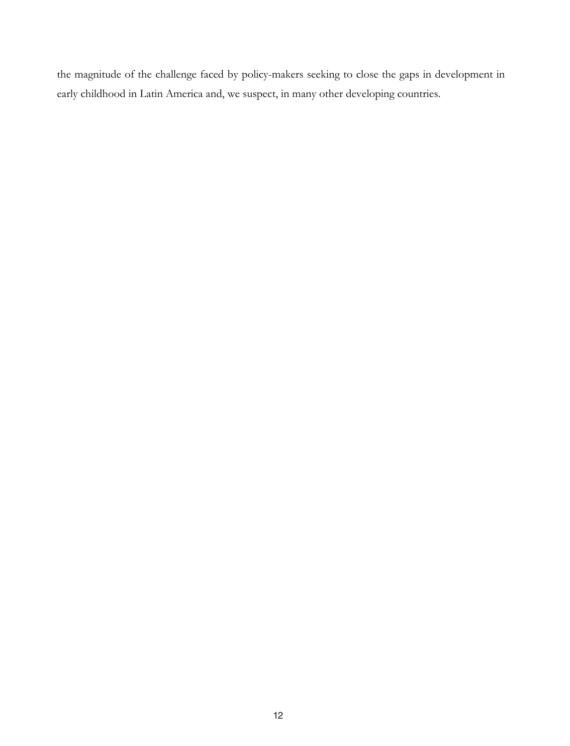the magnitude of the challenge faced by policy-makers seeking to close the gaps in development in early childhood in Latin America and, we suspect, in many other developing countries.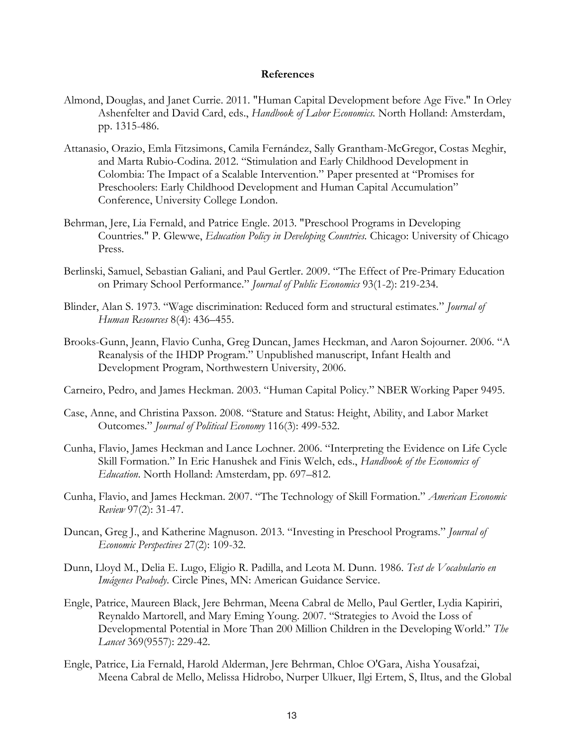#### **References**

- Almond, Douglas, and Janet Currie. 2011. "Human Capital Development before Age Five." In Orley Ashenfelter and David Card, eds., *Handbook of Labor Economics.* North Holland: Amsterdam, pp. 1315-486.
- Attanasio, Orazio, Emla Fitzsimons, Camila Fernández, Sally Grantham-McGregor, Costas Meghir, and Marta Rubio-Codina. 2012. "Stimulation and Early Childhood Development in Colombia: The Impact of a Scalable Intervention." Paper presented at "Promises for Preschoolers: Early Childhood Development and Human Capital Accumulation" Conference, University College London.
- Behrman, Jere, Lia Fernald, and Patrice Engle. 2013. "Preschool Programs in Developing Countries." P. Glewwe, *Education Policy in Developing Countries.* Chicago: University of Chicago Press.
- Berlinski, Samuel, Sebastian Galiani, and Paul Gertler. 2009. "The Effect of Pre-Primary Education on Primary School Performance." *Journal of Public Economics* 93(1-2): 219-234.
- Blinder, Alan S. 1973. "Wage discrimination: Reduced form and structural estimates." *Journal of Human Resources* 8(4): 436–455.
- Brooks-Gunn, Jeann, Flavio Cunha, Greg Duncan, James Heckman, and Aaron Sojourner. 2006. "A Reanalysis of the IHDP Program." Unpublished manuscript, Infant Health and Development Program, Northwestern University, 2006.
- Carneiro, Pedro, and James Heckman. 2003. "Human Capital Policy." NBER Working Paper 9495.
- Case, Anne, and Christina Paxson. 2008. "Stature and Status: Height, Ability, and Labor Market Outcomes." *Journal of Political Economy* 116(3): 499-532.
- Cunha, Flavio, James Heckman and Lance Lochner. 2006. "Interpreting the Evidence on Life Cycle Skill Formation." In Eric Hanushek and Finis Welch, eds., *Handbook of the Economics of Education*. North Holland: Amsterdam, pp. 697–812.
- Cunha, Flavio, and James Heckman. 2007. "The Technology of Skill Formation." *American Economic Review* 97(2): 31-47.
- Duncan, Greg J., and Katherine Magnuson. 2013. "Investing in Preschool Programs." *Journal of Economic Perspectives* 27(2): 109-32.
- Dunn, Lloyd M., Delia E. Lugo, Eligio R. Padilla, and Leota M. Dunn. 1986. *Test de Vocabulario en Imágenes Peabody*. Circle Pines, MN: American Guidance Service.
- Engle, Patrice, Maureen Black, Jere Behrman, Meena Cabral de Mello, Paul Gertler, Lydia Kapiriri, Reynaldo Martorell, and Mary Eming Young. 2007. "Strategies to Avoid the Loss of Developmental Potential in More Than 200 Million Children in the Developing World." *The Lancet* 369(9557): 229-42.
- Engle, Patrice, Lia Fernald, Harold Alderman, Jere Behrman, Chloe O'Gara, Aisha Yousafzai, Meena Cabral de Mello, Melissa Hidrobo, Nurper Ulkuer, Ilgi Ertem, S, Iltus, and the Global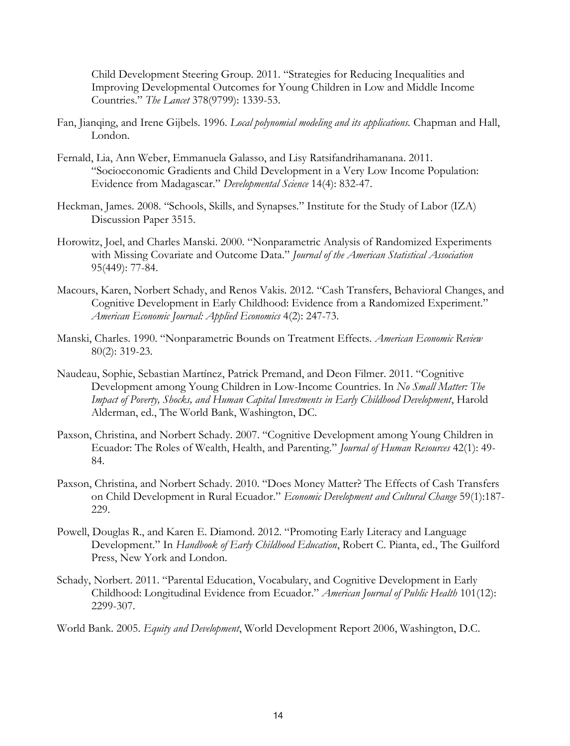Child Development Steering Group. 2011. "Strategies for Reducing Inequalities and Improving Developmental Outcomes for Young Children in Low and Middle Income Countries." *The Lancet* 378(9799): 1339-53.

- Fan, Jianqing, and Irene Gijbels. 1996. *Local polynomial modeling and its applications.* Chapman and Hall, London.
- Fernald, Lia, Ann Weber, Emmanuela Galasso, and Lisy Ratsifandrihamanana. 2011. "Socioeconomic Gradients and Child Development in a Very Low Income Population: Evidence from Madagascar." *Developmental Science* 14(4): 832-47.
- Heckman, James. 2008. "Schools, Skills, and Synapses." Institute for the Study of Labor (IZA) Discussion Paper 3515.
- Horowitz, Joel, and Charles Manski. 2000. "Nonparametric Analysis of Randomized Experiments with Missing Covariate and Outcome Data." *Journal of the American Statistical Association* 95(449): 77-84.
- Macours, Karen, Norbert Schady, and Renos Vakis. 2012. "Cash Transfers, Behavioral Changes, and Cognitive Development in Early Childhood: Evidence from a Randomized Experiment." *American Economic Journal: Applied Economics* 4(2): 247-73.
- Manski, Charles. 1990. "Nonparametric Bounds on Treatment Effects. *American Economic Review* 80(2): 319-23.
- Naudeau, Sophie, Sebastian Martínez, Patrick Premand, and Deon Filmer. 2011. "Cognitive Development among Young Children in Low-Income Countries. In *No Small Matter: The Impact of Poverty, Shocks, and Human Capital Investments in Early Childhood Development*, Harold Alderman, ed., The World Bank, Washington, DC.
- Paxson, Christina, and Norbert Schady. 2007. "Cognitive Development among Young Children in Ecuador: The Roles of Wealth, Health, and Parenting." *Journal of Human Resources* 42(1): 49- 84.
- Paxson, Christina, and Norbert Schady. 2010. "Does Money Matter? The Effects of Cash Transfers on Child Development in Rural Ecuador." *Economic Development and Cultural Change* 59(1):187- 229.
- Powell, Douglas R., and Karen E. Diamond. 2012. "Promoting Early Literacy and Language Development." In *Handbook of Early Childhood Education*, Robert C. Pianta, ed., The Guilford Press, New York and London.
- Schady, Norbert. 2011. "Parental Education, Vocabulary, and Cognitive Development in Early Childhood: Longitudinal Evidence from Ecuador." *American Journal of Public Health* 101(12): 2299-307.

World Bank. 2005. *Equity and Development*, World Development Report 2006, Washington, D.C.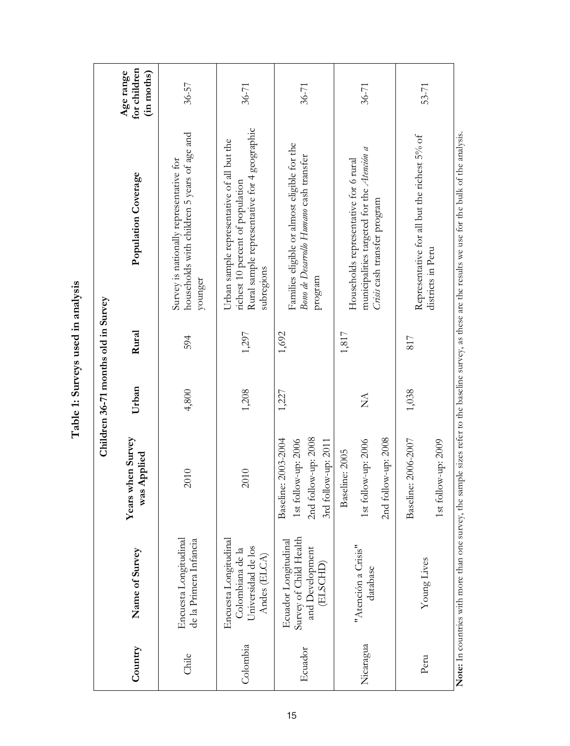|           |                                                                                 |                                                                                          | Children 36-71 months old in Survey |       |                                                                                                                                                            |                                         |
|-----------|---------------------------------------------------------------------------------|------------------------------------------------------------------------------------------|-------------------------------------|-------|------------------------------------------------------------------------------------------------------------------------------------------------------------|-----------------------------------------|
| Country   | Name of Survey                                                                  | when Survey<br>Applied<br>was<br>Years <sub>1</sub>                                      | Urban                               | Rural | Population Coverage                                                                                                                                        | for children<br>Age range<br>(in moths) |
| Chile     | Encuesta Longitudinal<br>de la Primera Infancia                                 | 2010                                                                                     | 4,800                               | 594   | households with children 5 years of age and<br>Survey is nationally representative for<br>younger                                                          | $36 - 57$                               |
| Colombia  | Encuesta Longitudinal<br>Universidad de los<br>Colombiana de la<br>Andes (ELCA) | 2010                                                                                     | 1,208                               | 1,297 | Rural sample representative for 4 geographic<br>Urban sample representative of all but the<br>richest 10 percent of population<br>subregions               | $36 - 71$                               |
| Ecuador   | Survey of Child Health<br>Ecuador Longitudinal<br>and Development<br>(ELSCHD)   | 2nd follow-up: 2008<br>Baseline: 2003-2004<br>1st follow-up: 2006<br>3rd follow-up: 2011 | 1,227                               | 1,692 | Families eligible or almost eligible for the<br>Bono de Desarrollo Humano cash transfer<br>program                                                         | $36 - 71$                               |
| Nicaragua | "Atención a Crisis"<br>database                                                 | 2nd follow-up: 2008<br>1st follow-up: 2006<br>Baseline: 2005                             | $\sum_{i=1}^{n}$                    | 1,817 | municipalities targeted for the Atención a<br>Households representative for 6 rural<br>Crisis cash transfer program                                        | $36 - 71$                               |
| Peru      | Young Lives                                                                     | Baseline: 2006-2007<br>1st follow-up: 2009                                               | 1,038                               | 817   | Representative for all but the richest 5% of<br>districts in Peru                                                                                          | $53 - 71$                               |
|           |                                                                                 |                                                                                          |                                     |       | Note: In countries with more than one survey, the sample sizes refer to the baseline survey, as these are the results we use for the bulk of the analysis. |                                         |

Table 1: Surveys used in analysis **Table 1: Surveys used in analysis**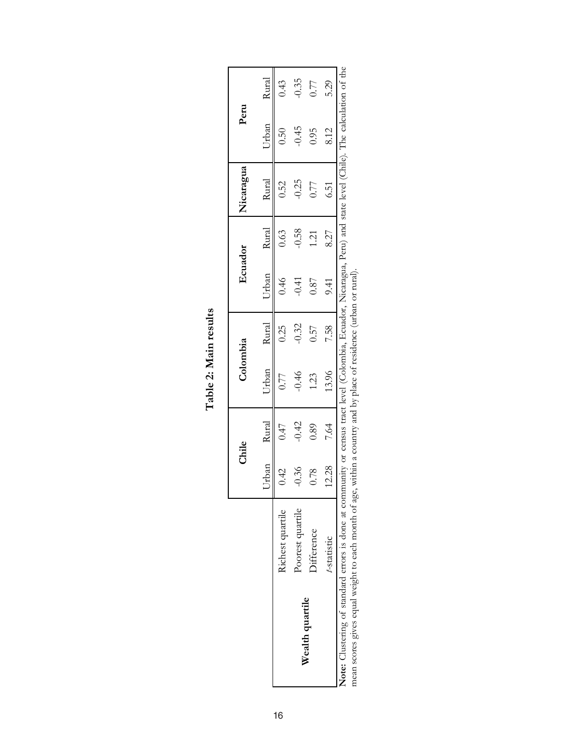|                                                                                                                                                                     |                      | Chile   |         | Colombia |         | Ecuador |             | Nicaragua | Peru  |         |
|---------------------------------------------------------------------------------------------------------------------------------------------------------------------|----------------------|---------|---------|----------|---------|---------|-------------|-----------|-------|---------|
|                                                                                                                                                                     |                      | Jrban   | Rural   | Urban    | Rural   | Urban   | Rural       | Rural     | Urban | Rural   |
|                                                                                                                                                                     | Richest quartile     | 0.42    | (14)    | 0.77     | 0.25    | 0.46    | 0.63        | 0.52      | 0.50  | 0.43    |
|                                                                                                                                                                     | Poorest quartile     | $-0.36$ | $-0.42$ | $-0.46$  | $-0.32$ | 0.41    | $-0.58$     | $-0.25$   | 0.45  | $-0.35$ |
| Wealth quartile                                                                                                                                                     | <b>Difference</b>    | 0.78    | 0.89    | 1.23     | 0.57    | 0.87    | <u>ี่ผู</u> | 0.77      | 0.95  | 0.77    |
|                                                                                                                                                                     | $t\text{-}statistic$ | 12.28   | 7.64    | 13.96    | 7.58    | 9.41    | 8.27        | 6.51      | 8.12  | 5.29    |
| Note: Clustering of standard errors is done at community or census tract level (Colombia, Ecuador, Nicaragua, Peru) and state level (Chile). The calculation of the |                      |         |         |          |         |         |             |           |       |         |
| mean scores gives equal weight to each month of age, within a country and by place of residence (urban or rural).                                                   |                      |         |         |          |         |         |             |           |       |         |

| ğ<br>í |  |
|--------|--|
| air    |  |
| r<br>ಡ |  |

16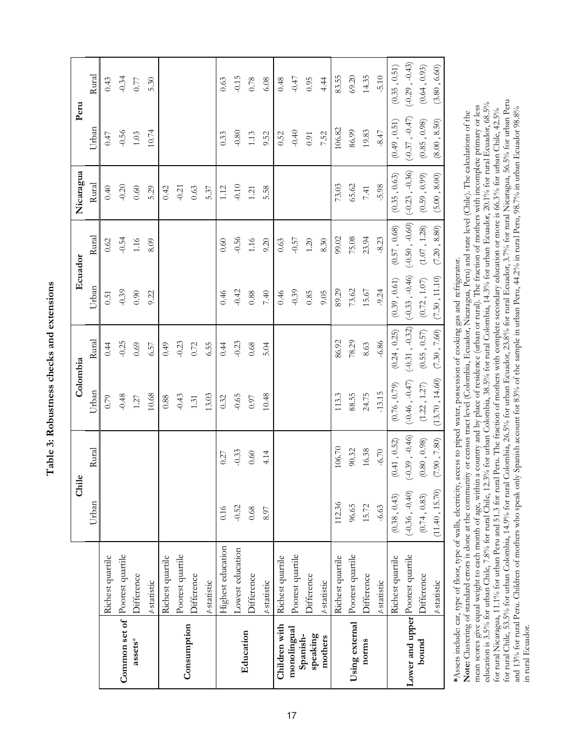|                                  |                   | Chile             |                                 | Colombia         |                   | Ecuador            |                   | Nicaragua        | Peru             |                  |
|----------------------------------|-------------------|-------------------|---------------------------------|------------------|-------------------|--------------------|-------------------|------------------|------------------|------------------|
|                                  |                   | Urban             | Rural                           | Urban            | Rural             | Urban              | Rural             | Rural            | Urban            | Rural            |
|                                  | Richest quartile  |                   |                                 | 0.79             | 0.44              | 0.51               | 0.62              | 0.40             | 0.47             | 0.43             |
| Common set of Poorest quartile   |                   |                   |                                 | $-0.48$          | $-0.25$           | $-0.39$            | $-0.54$           | $-0.20$          | $-0.56$          | $-0.34$          |
| $\mathbf{asserts}^*$             | Difference        |                   |                                 | $1.27\,$         | 0.69              | 0.90               | 1.16              | 0.60             | $1.03\,$         | $0.77\,$         |
|                                  | t-statistic       |                   |                                 | 10.68            | 6.57              | 9.22               | 8.09              | 5.29             | 10.74            | 5.30             |
|                                  | Richest quartile  |                   |                                 | 0.88             | (4.0)             |                    |                   | 0.42             |                  |                  |
|                                  | Poorest quartile  |                   |                                 | $-0.43$          | $-0.23$           |                    |                   | $-0.21$          |                  |                  |
| Consumption                      | Difference        |                   |                                 | $1.31\,$         | 0.72              |                    |                   | 0.63             |                  |                  |
|                                  | t-statistic       |                   |                                 | 13.03            | 6.55              |                    |                   | 5.37             |                  |                  |
|                                  | Highest education | 0.16              | 0.27                            | 0.32             | 0.44              | 0.46               | 0.60              | 1.12             | 0.33             | 0.63             |
|                                  | Lowest education  | $-0.52$           | $-0.33$                         | $-0.65$          | $-0.23$           | $-0.42$            | $-0.56$           | $-0.10$          | $-0.80$          | $-0.15$          |
| Education                        | Difference        | $0.68\,$          | $0.60\,$                        | $0.97\,$         | 0.68              | $0.88\,$           | 1.16              | 1.21             | 1.13             | $0.78\,$         |
|                                  | $t$ -statistic    | 8.97              | 4.14                            | 10.48            | 5.04              | $7.40\,$           | 9.20              | 5.58             | 9.52             | 6.08             |
| Children with                    | Richest quartile  |                   |                                 |                  |                   | 0.46               | 0.63              |                  | 0.52             | 0.48             |
| monolingual                      | Poorest quartile  |                   |                                 |                  |                   | $-0.39$            | $-0.57$           |                  | $-0.40$          | $-0.47$          |
| speaking<br>Spanish-             | Difference        |                   |                                 |                  |                   | 0.85               | 1.20              |                  | 0.91             | 0.95             |
| mothers                          | t-statistic       |                   |                                 |                  |                   | 9.05               | 8.30              |                  | 7.52             | 4.44             |
|                                  | Richest quartile  | 112.36            | 106.70                          | 113.3            | 86.92             | 89.29              | 99.02             | 73.03            | 106.82           | 83.55            |
| Using external                   | Poorest quartile  | 96.65             | 90.32                           | 88.55            | 78.29             | 73.62              | 75.08             | 65.62            | 86.99            | 69.20            |
| norms                            | Difference        | 15.72             | 16.38                           | 24.75            | 8.63              | 15.67              | 23.94             | $7.41\,$         | 19.83            | 14.35            |
|                                  | t-statistic       | $-6.63$           | $-6.70$                         | $-13.15$         | $-6.86$           | $-9.24$            | $-8.23$           | $-5.98$          | $-8.47$          | $-5.10$          |
|                                  | Richest quartile  | (0.38, 0.43)      | (0.41, 0.52)                    | (0.76, 0.79)     | (0.24, 0.25)      | (0.39, 0.61)       | $(0.57$ , $0.68)$ | (0.35, 0.63)     | $(0.49, 0.51)$   | (0.35, 0.51)     |
| Lower and upper Poorest quartile |                   | $(-0.36, -0.40)$  | $(-0.39, -0.46)$                | $(-0.46, -0.47)$ | $(-0.31, -0.32)$  | $(-0.33, -0.46)$   | $(-0.50, -0.60)$  | $(-0.23, -0.36)$ | $(-0.37, -0.47)$ | $(-0.29, -0.43)$ |
| bound                            | Difference        | $(0.74\,,\,0.83)$ | $\left(0.80\right.,0.98\right)$ | (1.22, 1.27)     | $(0.55$ , $0.57)$ | $(0.72\,,\, 1.07)$ | $(1.07\,,\,1.28)$ | $(0.59, 0.99)$   | (0.85, 0.98)     | (0.64, 0.93)     |
|                                  | t-statistic       | (11.40, 15.70)    | (7.90, 7.80)                    | (13.70, 14.60)   | (7.30, 7.60)      | (7.30, 11.10)      | (7.20, 8.80)      | (5.00, 8.00)     | (8.00, 8.50)     | (3.80, 6.60)     |
|                                  |                   |                   |                                 |                  |                   |                    |                   |                  |                  |                  |

Table 3: Robustness checks and extensions **Table 3: Robustness checks and extensions**

\*Assets include: car, type of floor, type of walls, electricity, access to piped water, possession of cooking gas and refrigerator. **\***Assets include: car, type of floor, type of walls, electricity, access to piped water, possession of cooking gas and refrigerator.

for rural Chile, 53.5% for urban Colombia, 14.9% for rural Colombia, 26.5% for urban Ecuador, 23.8% for rural Ecuador, 3.7% for rural Nicaragua, 56.5% for urban Peru for rural Chile, 53.5% for urban Colombia, 14.9% for rural Colombia, 26.5% for urban Ecuador, 23.8% for rural Ecuador, 3.7% for rural Nicaragua, 56.5% for urban Peru education is 3.5% for urban Chile, 7.8% for rural Chile, 12.3% for urban Colombia, 38.5% for rural Colombia, 14.3% for urban Ecuador, 20.1% for rural Ecuador, 68.5% education is 3.5% for urban Chile, 7.8% for rural Chile, 12.3% for urban Colombia, 38.5% for rural Colombia, 14.3% for urban Ecuador, 20.1% for rural Ecuador, 68.5% mean scores give equal weight to each month of age, within a country and by place of residence (urban or rural). The fraction of mothers with incomplete primary or less mean scores give equal weight to each month of age, within a country and by place of residence (urban or rural). The fraction of mothers with incomplete primary or less and 13% for rural Peru. Children of mothers who speak only Spanish account for 83% of the sample in urban Peru, 44.2% in rural Peru, 98.7% in urban Ecuador 98.8% for rural Nicaragua, 11.1% for urban Peru and 51.3 for rural Peru. The fraction of mothers with complete secondary education or more is 66.3% for urban Chile, 42.5% and 13% for rural Peru. Children of mothers who speak only Spanish account for 83% of the sample in urban Peru, 44.2% in rural Peru, 98.7% in urban Ecuador 98.8% for rural Nicaragua, 11.1% for urban Peru and 51.3 for rural Peru. The fraction of mothers with complete secondary education or more is 66.3% for urban Chile, 42.5% Note: Clustering of standard errors is done at the community or census tract level (Colombia, Ecuador, Nicaragua, Peru) and state level (Chile). The calculations of the **Note:** Clustering of standard errors is done at the community or census tract level (Colombia, Ecuador, Nicaragua, Peru) and state level (Chile). The calculations of the in rural Ecuador. in rural Ecuador.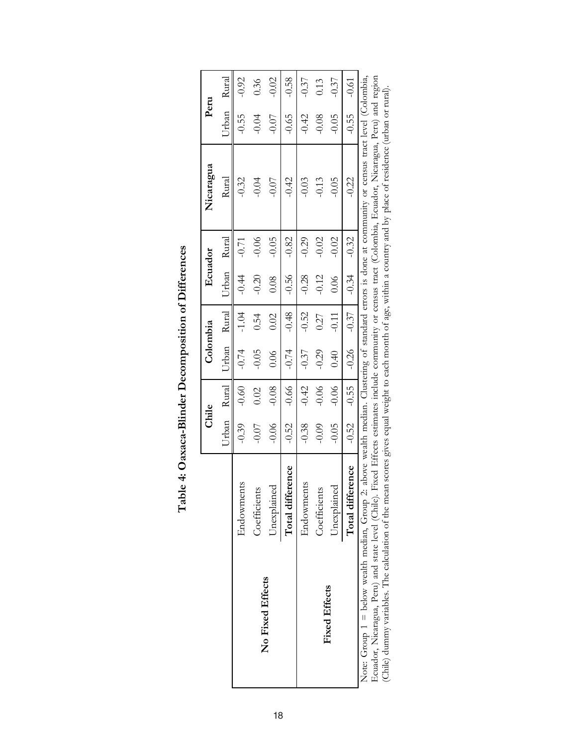|                                                                                                                                                        |                                        | Chile   |             | Colombia |             | Ecuador     |         | Nicaragua                          | Peru          |         |
|--------------------------------------------------------------------------------------------------------------------------------------------------------|----------------------------------------|---------|-------------|----------|-------------|-------------|---------|------------------------------------|---------------|---------|
|                                                                                                                                                        |                                        |         | Urban Rural |          | Urban Rural | Urban Rural |         | Rural                              | Urban Rural   |         |
|                                                                                                                                                        | Endowments                             | $-0.39$ | $-0.60$     | $-0.74$  | $-1.04$     | $-0.44$     | $-0.71$ | $-0.32$                            | $-0.55$       | $-0.92$ |
| No Fixed Effects                                                                                                                                       | Coefficients                           | $-0.07$ | 0.02        | $-0.05$  | 0.54        | $-0.20$     | $-0.06$ | $-0.04$                            | $-0.04$       | 0.36    |
|                                                                                                                                                        | Unexplained                            | $-0.06$ | $-0.08$     | 0.06     | 0.02        | 0.08        | $-0.05$ | $-0.07$                            | $-0.07$       | $-0.02$ |
|                                                                                                                                                        | Total difference                       | $-0.52$ | $-0.66$     | $-0.74$  | $-0.48$     | $-0.56$     | $-0.82$ | $-0.42$                            | $-0.65$       | $-0.58$ |
|                                                                                                                                                        | Endowments                             | $-0.38$ | $-0.42$     | $-0.37$  | $-0.52$     | $-0.28$     | $-0.29$ | $-0.03$                            | $-0.42$       | $-0.37$ |
|                                                                                                                                                        | Coefficients                           | $-0.09$ | $-0.06$     | $-0.29$  | 0.27        | $-0.12$     | $-0.02$ | $-0.13$                            | $-0.08$       | 0.13    |
| Fixed Effects                                                                                                                                          | Unexplained                            | $-0.05$ | $-0.06$     | 0.40     | $-0.11$     | 0.06        | $-0.02$ | $-0.05$                            | $-0.05$       | $-0.37$ |
|                                                                                                                                                        | Total difference                       | $-0.52$ | $-0.55$     | $-0.26$  | $-0.37$     | $-0.34$     | $-0.32$ | $-0.22$                            | $-0.55$       | $-0.61$ |
| Note: Group 1 = below wealth median, Group 2: above wealth median. Clustering of standard errors is done at community or census tract level (Colombia, | エー・エンジン アンド たちま アンドライブ アンディー・シー しゅうしょう |         |             |          |             |             |         | 1.2.4  1.4  1.4  1.4  1.4  1.5  1. | $\frac{1}{2}$ |         |

| tatan nan<br>.<br>ל                           |
|-----------------------------------------------|
| と なんないこくれんしん<br>$\bf{1}$<br>ı<br>ſ            |
| :<br>-<br>-<br>-<br>I<br>l<br>i<br>25000<br>( |
| $\frac{1}{\epsilon}$<br>י<br>                 |

Ecuador, Nicaragua, Peru) and state level (Chile). Fixed Effects estimates include community or census tract (Colombia, Ecuador, Nicaragua, Peru) and region<br>(Chile) dummy variables. The calculation of the mean scores gives Ecuador, Nicaragua, Peru) and state level (Chile). Fixed Effects estimates include community or census tract (Colombia, Ecuador, Nicaragua, Peru) and region (Chile) dummy variables. The calculation of the mean scores gives equal weight to each month of age, within a country and by place of residence (urban or rural).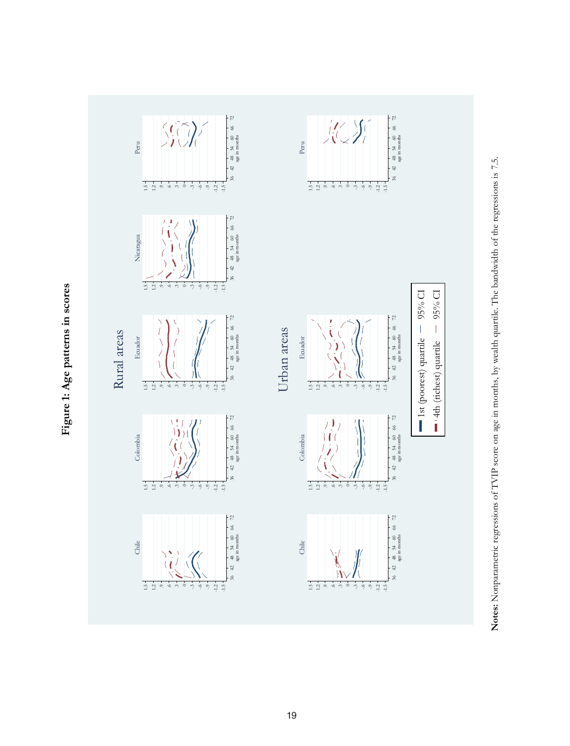